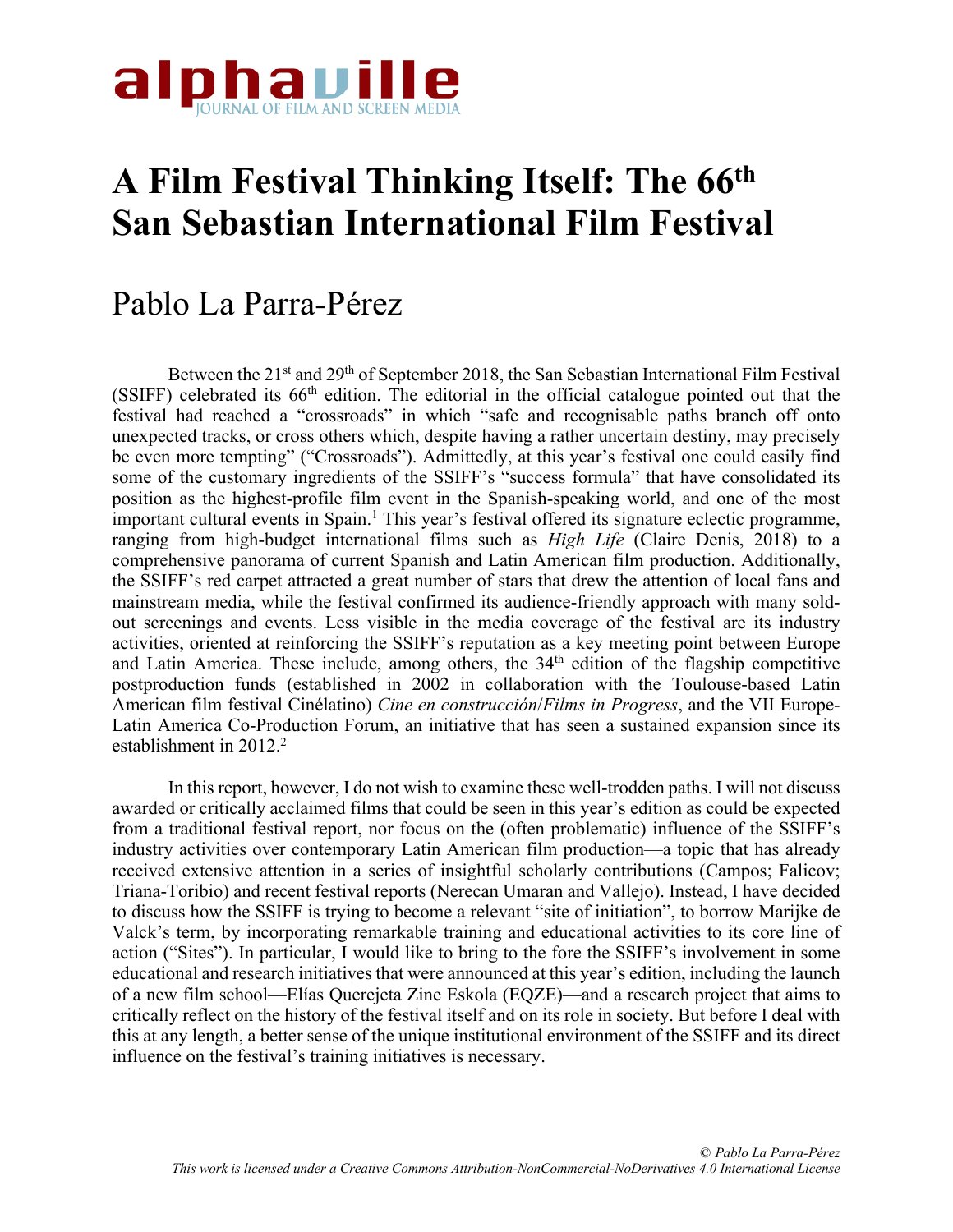

# **A Film Festival Thinking Itself: The 66th San Sebastian International Film Festival**

## Pablo La Parra-Pérez

Between the 21<sup>st</sup> and 29<sup>th</sup> of September 2018, the San Sebastian International Film Festival (SSIFF) celebrated its  $66<sup>th</sup>$  edition. The editorial in the official catalogue pointed out that the festival had reached a "crossroads" in which "safe and recognisable paths branch off onto unexpected tracks, or cross others which, despite having a rather uncertain destiny, may precisely be even more tempting" ("Crossroads"). Admittedly, at this year's festival one could easily find some of the customary ingredients of the SSIFF's "success formula" that have consolidated its position as the highest-profile film event in the Spanish-speaking world, and one of the most important cultural events in Spain. <sup>1</sup> This year's festival offered its signature eclectic programme, ranging from high-budget international films such as *High Life* (Claire Denis, 2018) to a comprehensive panorama of current Spanish and Latin American film production. Additionally, the SSIFF's red carpet attracted a great number of stars that drew the attention of local fans and mainstream media, while the festival confirmed its audience-friendly approach with many soldout screenings and events. Less visible in the media coverage of the festival are its industry activities, oriented at reinforcing the SSIFF's reputation as a key meeting point between Europe and Latin America. These include, among others, the  $34<sup>th</sup>$  edition of the flagship competitive postproduction funds (established in 2002 in collaboration with the Toulouse-based Latin American film festival Cinélatino) *Cine en construcción*/*Films in Progress*, and the VII Europe-Latin America Co-Production Forum, an initiative that has seen a sustained expansion since its establishment in  $2012.<sup>2</sup>$ 

In this report, however, I do not wish to examine these well-trodden paths. I will not discuss awarded or critically acclaimed films that could be seen in this year's edition as could be expected from a traditional festival report, nor focus on the (often problematic) influence of the SSIFF's industry activities over contemporary Latin American film production—a topic that has already received extensive attention in a series of insightful scholarly contributions (Campos; Falicov; Triana-Toribio) and recent festival reports (Nerecan Umaran and Vallejo). Instead, I have decided to discuss how the SSIFF is trying to become a relevant "site of initiation", to borrow Marijke de Valck's term, by incorporating remarkable training and educational activities to its core line of action ("Sites"). In particular, I would like to bring to the fore the SSIFF's involvement in some educational and research initiatives that were announced at this year's edition, including the launch of a new film school—Elías Querejeta Zine Eskola (EQZE)—and a research project that aims to critically reflect on the history of the festival itself and on its role in society. But before I deal with this at any length, a better sense of the unique institutional environment of the SSIFF and its direct influence on the festival's training initiatives is necessary.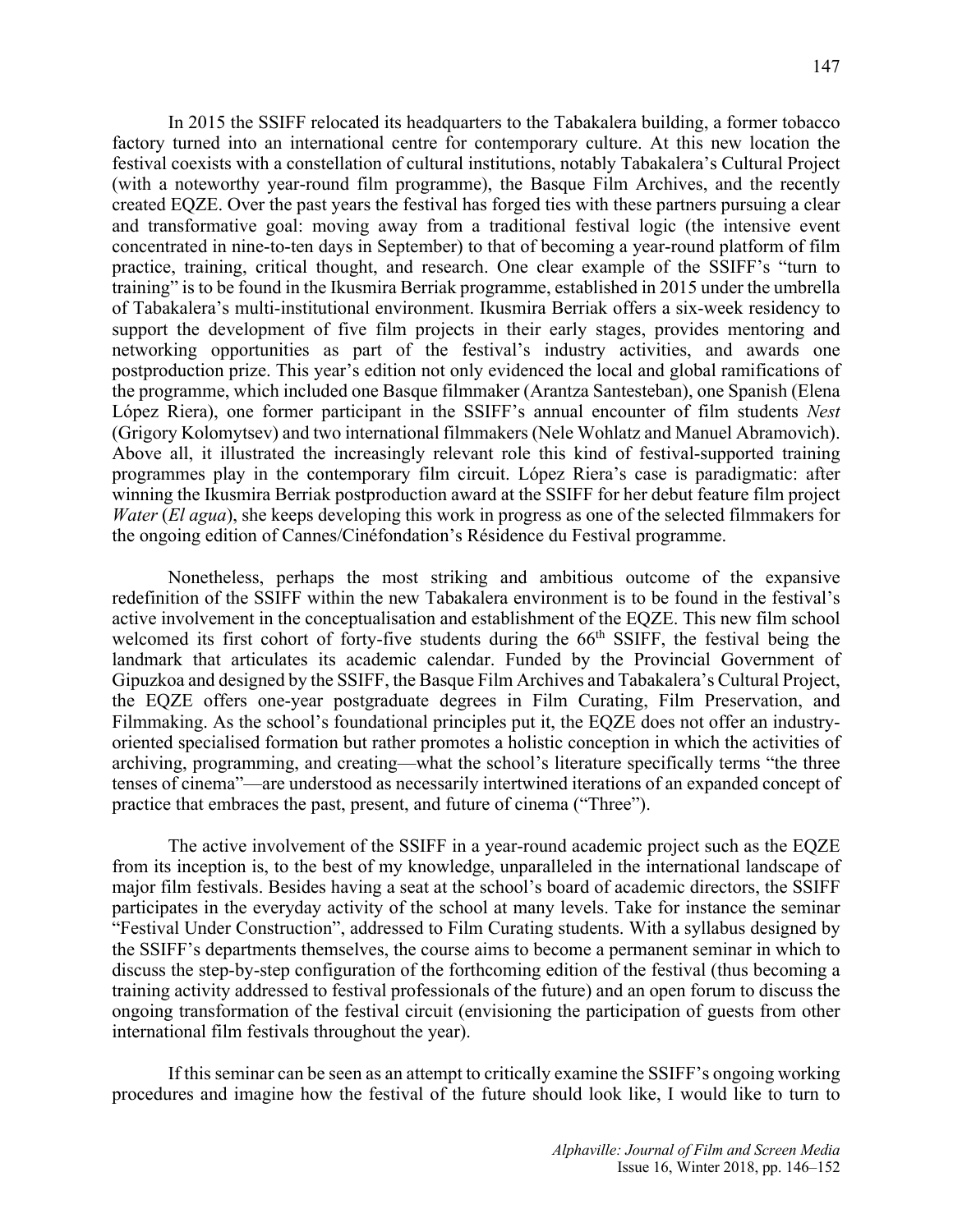In 2015 the SSIFF relocated its headquarters to the Tabakalera building, a former tobacco factory turned into an international centre for contemporary culture. At this new location the festival coexists with a constellation of cultural institutions, notably Tabakalera's Cultural Project (with a noteworthy year-round film programme), the Basque Film Archives, and the recently created EQZE. Over the past years the festival has forged ties with these partners pursuing a clear and transformative goal: moving away from a traditional festival logic (the intensive event concentrated in nine-to-ten days in September) to that of becoming a year-round platform of film practice, training, critical thought, and research. One clear example of the SSIFF's "turn to training" is to be found in the Ikusmira Berriak programme, established in 2015 under the umbrella of Tabakalera's multi-institutional environment. Ikusmira Berriak offers a six-week residency to support the development of five film projects in their early stages, provides mentoring and networking opportunities as part of the festival's industry activities, and awards one postproduction prize. This year's edition not only evidenced the local and global ramifications of the programme, which included one Basque filmmaker (Arantza Santesteban), one Spanish (Elena López Riera), one former participant in the SSIFF's annual encounter of film students *Nest* (Grigory Kolomytsev) and two international filmmakers (Nele Wohlatz and Manuel Abramovich). Above all, it illustrated the increasingly relevant role this kind of festival-supported training programmes play in the contemporary film circuit. López Riera's case is paradigmatic: after winning the Ikusmira Berriak postproduction award at the SSIFF for her debut feature film project *Water (El agua)*, she keeps developing this work in progress as one of the selected filmmakers for the ongoing edition of Cannes/Cinéfondation's Résidence du Festival programme.

Nonetheless, perhaps the most striking and ambitious outcome of the expansive redefinition of the SSIFF within the new Tabakalera environment is to be found in the festival's active involvement in the conceptualisation and establishment of the EQZE. This new film school welcomed its first cohort of forty-five students during the  $66<sup>th</sup>$  SSIFF, the festival being the landmark that articulates its academic calendar. Funded by the Provincial Government of Gipuzkoa and designed by the SSIFF, the Basque Film Archives and Tabakalera's Cultural Project, the EQZE offers one-year postgraduate degrees in Film Curating, Film Preservation, and Filmmaking. As the school's foundational principles put it, the EQZE does not offer an industryoriented specialised formation but rather promotes a holistic conception in which the activities of archiving, programming, and creating—what the school's literature specifically terms "the three tenses of cinema"—are understood as necessarily intertwined iterations of an expanded concept of practice that embraces the past, present, and future of cinema ("Three").

The active involvement of the SSIFF in a year-round academic project such as the EQZE from its inception is, to the best of my knowledge, unparalleled in the international landscape of major film festivals. Besides having a seat at the school's board of academic directors, the SSIFF participates in the everyday activity of the school at many levels. Take for instance the seminar "Festival Under Construction", addressed to Film Curating students. With a syllabus designed by the SSIFF's departments themselves, the course aims to become a permanent seminar in which to discuss the step-by-step configuration of the forthcoming edition of the festival (thus becoming a training activity addressed to festival professionals of the future) and an open forum to discuss the ongoing transformation of the festival circuit (envisioning the participation of guests from other international film festivals throughout the year).

If this seminar can be seen as an attempt to critically examine the SSIFF's ongoing working procedures and imagine how the festival of the future should look like, I would like to turn to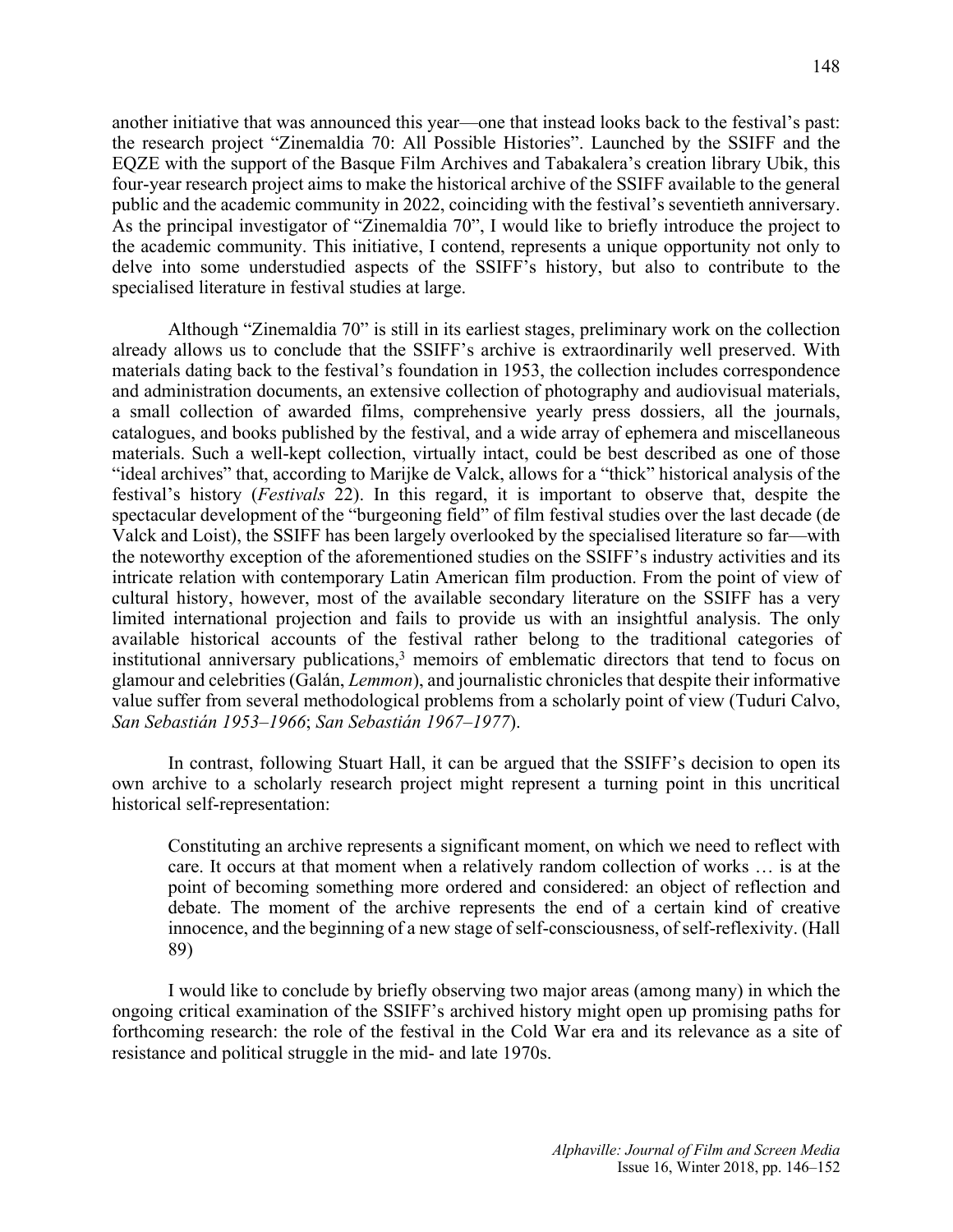another initiative that was announced this year—one that instead looks back to the festival's past: the research project "Zinemaldia 70: All Possible Histories". Launched by the SSIFF and the EQZE with the support of the Basque Film Archives and Tabakalera's creation library Ubik, this four-year research project aims to make the historical archive of the SSIFF available to the general public and the academic community in 2022, coinciding with the festival's seventieth anniversary. As the principal investigator of "Zinemaldia 70", I would like to briefly introduce the project to the academic community. This initiative, I contend, represents a unique opportunity not only to delve into some understudied aspects of the SSIFF's history, but also to contribute to the specialised literature in festival studies at large.

Although "Zinemaldia 70" is still in its earliest stages, preliminary work on the collection already allows us to conclude that the SSIFF's archive is extraordinarily well preserved. With materials dating back to the festival's foundation in 1953, the collection includes correspondence and administration documents, an extensive collection of photography and audiovisual materials, a small collection of awarded films, comprehensive yearly press dossiers, all the journals, catalogues, and books published by the festival, and a wide array of ephemera and miscellaneous materials. Such a well-kept collection, virtually intact, could be best described as one of those "ideal archives" that, according to Marijke de Valck, allows for a "thick" historical analysis of the festival's history (*Festivals* 22). In this regard, it is important to observe that, despite the spectacular development of the "burgeoning field" of film festival studies over the last decade (de Valck and Loist), the SSIFF has been largely overlooked by the specialised literature so far—with the noteworthy exception of the aforementioned studies on the SSIFF's industry activities and its intricate relation with contemporary Latin American film production. From the point of view of cultural history, however, most of the available secondary literature on the SSIFF has a very limited international projection and fails to provide us with an insightful analysis. The only available historical accounts of the festival rather belong to the traditional categories of institutional anniversary publications,  $3$  memoirs of emblematic directors that tend to focus on glamour and celebrities (Galán, *Lemmon*), and journalistic chronicles that despite their informative value suffer from several methodological problems from a scholarly point of view (Tuduri Calvo, *San Sebastián 1953–1966*; *San Sebastián 1967–1977*).

In contrast, following Stuart Hall, it can be argued that the SSIFF's decision to open its own archive to a scholarly research project might represent a turning point in this uncritical historical self-representation:

Constituting an archive represents a significant moment, on which we need to reflect with care. It occurs at that moment when a relatively random collection of works … is at the point of becoming something more ordered and considered: an object of reflection and debate. The moment of the archive represents the end of a certain kind of creative innocence, and the beginning of a new stage of self-consciousness, of self-reflexivity. (Hall 89)

I would like to conclude by briefly observing two major areas (among many) in which the ongoing critical examination of the SSIFF's archived history might open up promising paths for forthcoming research: the role of the festival in the Cold War era and its relevance as a site of resistance and political struggle in the mid- and late 1970s.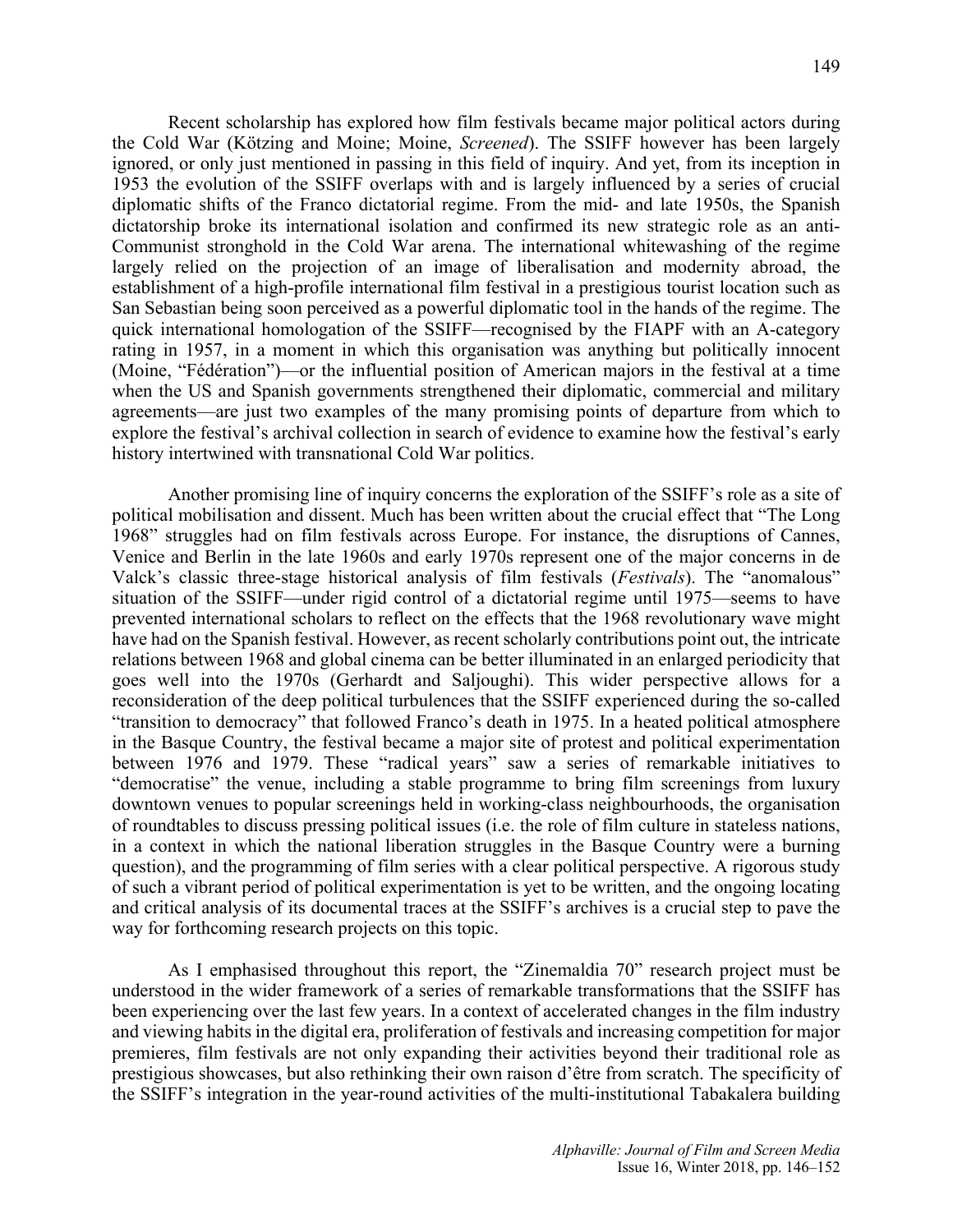Recent scholarship has explored how film festivals became major political actors during the Cold War (Kötzing and Moine; Moine, *Screened*). The SSIFF however has been largely ignored, or only just mentioned in passing in this field of inquiry. And yet, from its inception in 1953 the evolution of the SSIFF overlaps with and is largely influenced by a series of crucial diplomatic shifts of the Franco dictatorial regime. From the mid- and late 1950s, the Spanish dictatorship broke its international isolation and confirmed its new strategic role as an anti-Communist stronghold in the Cold War arena. The international whitewashing of the regime largely relied on the projection of an image of liberalisation and modernity abroad, the establishment of a high-profile international film festival in a prestigious tourist location such as San Sebastian being soon perceived as a powerful diplomatic tool in the hands of the regime. The quick international homologation of the SSIFF—recognised by the FIAPF with an A-category rating in 1957, in a moment in which this organisation was anything but politically innocent (Moine, "Fédération")—or the influential position of American majors in the festival at a time when the US and Spanish governments strengthened their diplomatic, commercial and military agreements—are just two examples of the many promising points of departure from which to explore the festival's archival collection in search of evidence to examine how the festival's early history intertwined with transnational Cold War politics.

Another promising line of inquiry concerns the exploration of the SSIFF's role as a site of political mobilisation and dissent. Much has been written about the crucial effect that "The Long 1968" struggles had on film festivals across Europe. For instance, the disruptions of Cannes, Venice and Berlin in the late 1960s and early 1970s represent one of the major concerns in de Valck's classic three-stage historical analysis of film festivals (*Festivals*). The "anomalous" situation of the SSIFF—under rigid control of a dictatorial regime until 1975—seems to have prevented international scholars to reflect on the effects that the 1968 revolutionary wave might have had on the Spanish festival. However, as recent scholarly contributions point out, the intricate relations between 1968 and global cinema can be better illuminated in an enlarged periodicity that goes well into the 1970s (Gerhardt and Saljoughi). This wider perspective allows for a reconsideration of the deep political turbulences that the SSIFF experienced during the so-called "transition to democracy" that followed Franco's death in 1975. In a heated political atmosphere in the Basque Country, the festival became a major site of protest and political experimentation between 1976 and 1979. These "radical years" saw a series of remarkable initiatives to "democratise" the venue, including a stable programme to bring film screenings from luxury downtown venues to popular screenings held in working-class neighbourhoods, the organisation of roundtables to discuss pressing political issues (i.e. the role of film culture in stateless nations, in a context in which the national liberation struggles in the Basque Country were a burning question), and the programming of film series with a clear political perspective. A rigorous study of such a vibrant period of political experimentation is yet to be written, and the ongoing locating and critical analysis of its documental traces at the SSIFF's archives is a crucial step to pave the way for forthcoming research projects on this topic.

As I emphasised throughout this report, the "Zinemaldia 70" research project must be understood in the wider framework of a series of remarkable transformations that the SSIFF has been experiencing over the last few years. In a context of accelerated changes in the film industry and viewing habits in the digital era, proliferation of festivals and increasing competition for major premieres, film festivals are not only expanding their activities beyond their traditional role as prestigious showcases, but also rethinking their own raison d'être from scratch. The specificity of the SSIFF's integration in the year-round activities of the multi-institutional Tabakalera building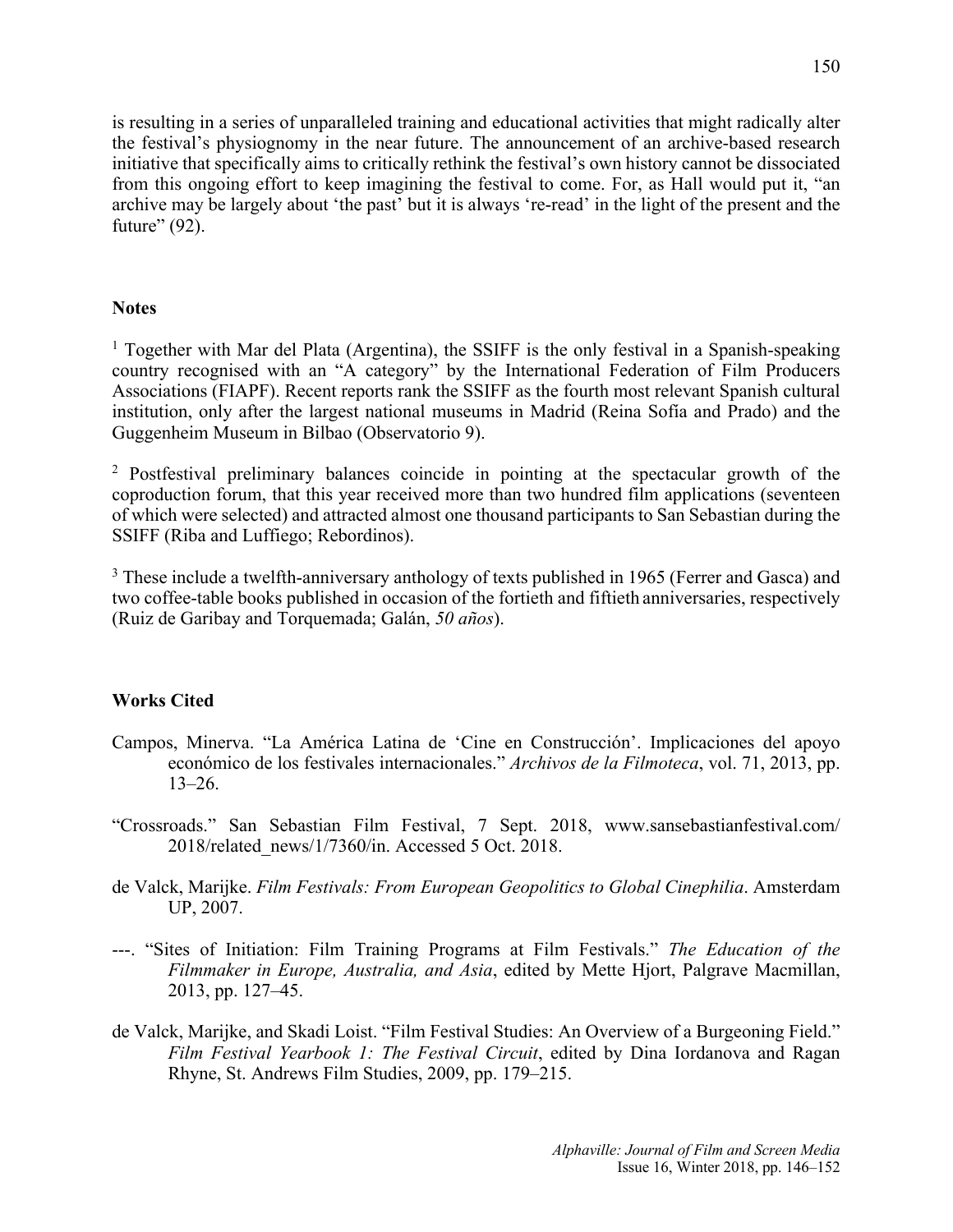is resulting in a series of unparalleled training and educational activities that might radically alter the festival's physiognomy in the near future. The announcement of an archive-based research initiative that specifically aims to critically rethink the festival's own history cannot be dissociated from this ongoing effort to keep imagining the festival to come. For, as Hall would put it, "an archive may be largely about 'the past' but it is always 're-read' in the light of the present and the future" (92).

#### **Notes**

<sup>1</sup> Together with Mar del Plata (Argentina), the SSIFF is the only festival in a Spanish-speaking country recognised with an "A category" by the International Federation of Film Producers Associations (FIAPF). Recent reports rank the SSIFF as the fourth most relevant Spanish cultural institution, only after the largest national museums in Madrid (Reina Sofía and Prado) and the Guggenheim Museum in Bilbao (Observatorio 9).

<sup>2</sup> Postfestival preliminary balances coincide in pointing at the spectacular growth of the coproduction forum, that this year received more than two hundred film applications (seventeen of which were selected) and attracted almost one thousand participants to San Sebastian during the SSIFF (Riba and Luffiego; Rebordinos).

<sup>3</sup> These include a twelfth-anniversary anthology of texts published in 1965 (Ferrer and Gasca) and two coffee-table books published in occasion of the fortieth and fiftieth anniversaries, respectively (Ruiz de Garibay and Torquemada; Galán, *50 años*).

### **Works Cited**

- Campos, Minerva. "La América Latina de 'Cine en Construcción'. Implicaciones del apoyo económico de los festivales internacionales." *Archivos de la Filmoteca*, vol. 71, 2013, pp. 13–26.
- "Crossroads." San Sebastian Film Festival, 7 Sept. 2018, www.sansebastianfestival.com/ 2018/related\_news/1/7360/in. Accessed 5 Oct. 2018.
- de Valck, Marijke. *Film Festivals: From European Geopolitics to Global Cinephilia*. Amsterdam UP, 2007.
- ---. "Sites of Initiation: Film Training Programs at Film Festivals." *The Education of the Filmmaker in Europe, Australia, and Asia*, edited by Mette Hjort, Palgrave Macmillan, 2013, pp. 127–45.
- de Valck, Marijke, and Skadi Loist. "Film Festival Studies: An Overview of a Burgeoning Field." *Film Festival Yearbook 1: The Festival Circuit*, edited by Dina Iordanova and Ragan Rhyne, St. Andrews Film Studies, 2009, pp. 179–215.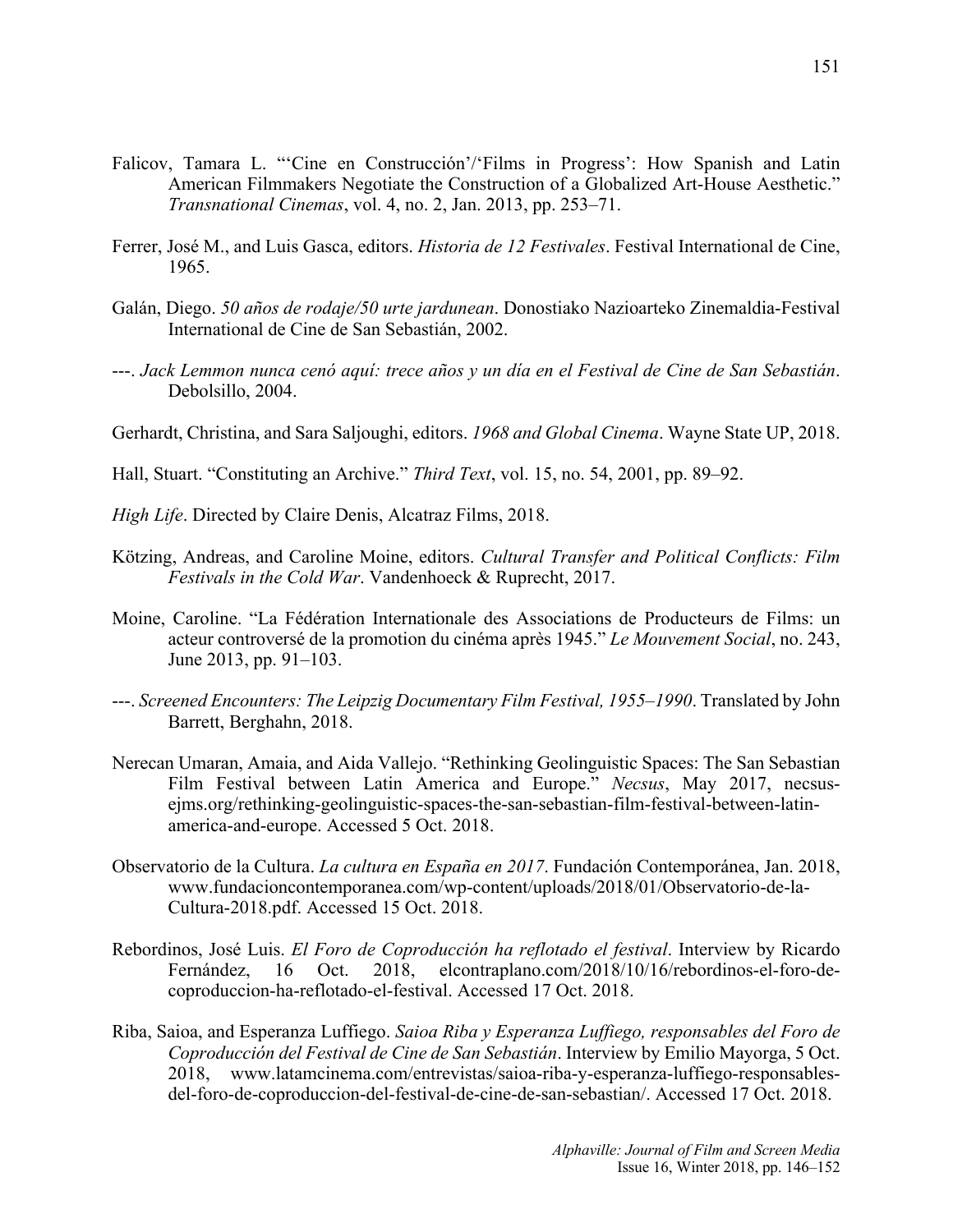- Falicov, Tamara L. "'Cine en Construcción'/'Films in Progress': How Spanish and Latin American Filmmakers Negotiate the Construction of a Globalized Art-House Aesthetic." *Transnational Cinemas*, vol. 4, no. 2, Jan. 2013, pp. 253–71.
- Ferrer, José M., and Luis Gasca, editors. *Historia de 12 Festivales*. Festival International de Cine, 1965.
- Galán, Diego. *50 años de rodaje/50 urte jardunean*. Donostiako Nazioarteko Zinemaldia-Festival International de Cine de San Sebastián, 2002.
- ---. *Jack Lemmon nunca cenó aquí: trece años y un día en el Festival de Cine de San Sebastián*. Debolsillo, 2004.
- Gerhardt, Christina, and Sara Saljoughi, editors. *1968 and Global Cinema*. Wayne State UP, 2018.
- Hall, Stuart. "Constituting an Archive." *Third Text*, vol. 15, no. 54, 2001, pp. 89–92.
- *High Life*. Directed by Claire Denis, Alcatraz Films, 2018.
- Kötzing, Andreas, and Caroline Moine, editors. *Cultural Transfer and Political Conflicts: Film Festivals in the Cold War*. Vandenhoeck & Ruprecht, 2017.
- Moine, Caroline. "La Fédération Internationale des Associations de Producteurs de Films: un acteur controversé de la promotion du cinéma après 1945." *Le Mouvement Social*, no. 243, June 2013, pp. 91–103.
- ---. *Screened Encounters: The Leipzig Documentary Film Festival, 1955–1990*. Translated by John Barrett, Berghahn, 2018.
- Nerecan Umaran, Amaia, and Aida Vallejo. "Rethinking Geolinguistic Spaces: The San Sebastian Film Festival between Latin America and Europe." *Necsus*, May 2017, necsusejms.org/rethinking-geolinguistic-spaces-the-san-sebastian-film-festival-between-latinamerica-and-europe. Accessed 5 Oct. 2018.
- Observatorio de la Cultura. *La cultura en España en 2017*. Fundación Contemporánea, Jan. 2018, www.fundacioncontemporanea.com/wp-content/uploads/2018/01/Observatorio-de-la-Cultura-2018.pdf. Accessed 15 Oct. 2018.
- Rebordinos, José Luis. *El Foro de Coproducción ha reflotado el festival*. Interview by Ricardo Fernández, 16 Oct. 2018, elcontraplano.com/2018/10/16/rebordinos-el-foro-decoproduccion-ha-reflotado-el-festival. Accessed 17 Oct. 2018.
- Riba, Saioa, and Esperanza Luffiego. *Saioa Riba y Esperanza Luffiego, responsables del Foro de Coproducción del Festival de Cine de San Sebastián*. Interview by Emilio Mayorga, 5 Oct. 2018, www.latamcinema.com/entrevistas/saioa-riba-y-esperanza-luffiego-responsablesdel-foro-de-coproduccion-del-festival-de-cine-de-san-sebastian/. Accessed 17 Oct. 2018.